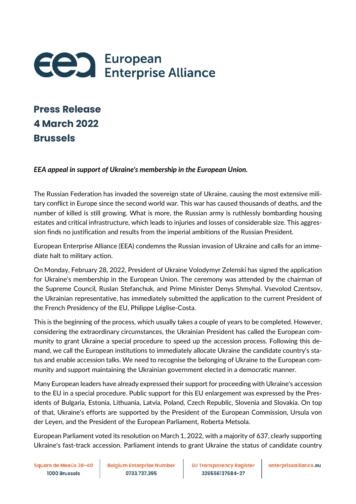

## **Press Release 4 March 2022 Brussels**

## *EEA appeal in support of Ukraine's membership in the European Union.*

The Russian Federation has invaded the sovereign state of Ukraine, causing the most extensive military conflict in Europe since the second world war. This war has caused thousands of deaths, and the number of killed is still growing. What is more, the Russian army is ruthlessly bombarding housing estates and critical infrastructure, which leads to injuries and losses of considerable size. This aggression finds no justification and results from the imperial ambitions of the Russian President.

European Enterprise Alliance (EEA) condemns the Russian invasion of Ukraine and calls for an immediate halt to military action.

On Monday, February 28, 2022, President of Ukraine Volodymyr Zelenski has signed the application for Ukraine's membership in the European Union. The ceremony was attended by the chairman of the Supreme Council, Ruslan Stefanchuk, and Prime Minister Denys Shmyhal. Vsevolod Czentsov, the Ukrainian representative, has immediately submitted the application to the current President of the French Presidency of the EU, Philippe Léglise-Costa.

This is the beginning of the process, which usually takes a couple of years to be completed. However, considering the extraordinary circumstances, the Ukrainian President has called the European community to grant Ukraine a special procedure to speed up the accession process. Following this demand, we call the European institutions to immediately allocate Ukraine the candidate country's status and enable accession talks. We need to recognise the belonging of Ukraine to the European community and support maintaining the Ukrainian government elected in a democratic manner.

Many European leaders have already expressed their support for proceeding with Ukraine's accession to the EU in a special procedure. Public support for this EU enlargement was expressed by the Presidents of Bulgaria, Estonia, Lithuania, Latvia, Poland, Czech Republic, Slovenia and Slovakia. On top of that, Ukraine's efforts are supported by the President of the European Commission, Ursula von der Leyen, and the President of the European Parliament, Roberta Metsola.

European Parliament voted its resolution on March 1, 2022, with a majority of 637, clearly supporting Ukraine's fast-track accession. Parliament intends to grant Ukraine the status of candidate country

Square de Meeûs 38-40 1000 Brussels

**Belgium Enterprise Number** 0733.737.395

**EU Transparency Register** 329556137684-27

enterprisealliance.eu